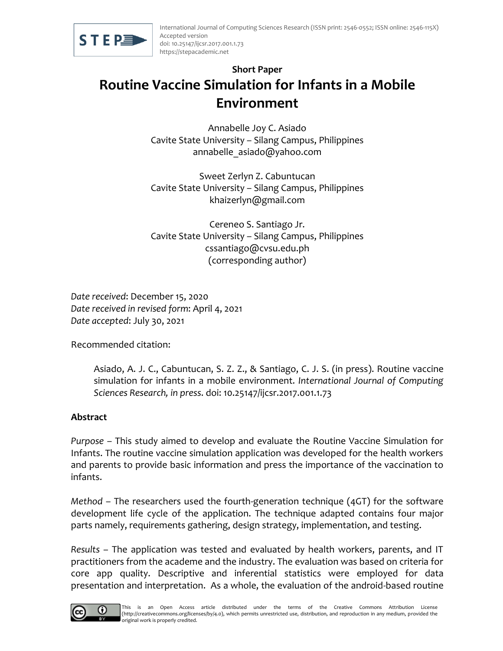

# **Short Paper Routine Vaccine Simulation for Infants in a Mobile Environment**

Annabelle Joy C. Asiado Cavite State University – Silang Campus, Philippines annabelle asiado@yahoo.com

Sweet Zerlyn Z. Cabuntucan Cavite State University – Silang Campus, Philippines khaizerlyn@gmail.com

Cereneo S. Santiago Jr. Cavite State University – Silang Campus, Philippines cssantiago@cvsu.edu.ph (corresponding author)

*Date received*: December 15, 2020 *Date received in revised form*: April 4, 2021 *Date accepted*: July 30, 2021

Recommended citation:

Asiado, A. J. C., Cabuntucan, S. Z. Z., & Santiago, C. J. S. (in press). Routine vaccine simulation for infants in a mobile environment. *International Journal of Computing Sciences Research, in press*. doi: 10.25147/ijcsr.2017.001.1.73

#### **Abstract**

*Purpose* – This study aimed to develop and evaluate the Routine Vaccine Simulation for Infants. The routine vaccine simulation application was developed for the health workers and parents to provide basic information and press the importance of the vaccination to infants.

*Method* – The researchers used the fourth-generation technique (4GT) for the software development life cycle of the application. The technique adapted contains four major parts namely, requirements gathering, design strategy, implementation, and testing.

*Results* – The application was tested and evaluated by health workers, parents, and IT practitioners from the academe and the industry. The evaluation was based on criteria for core app quality. Descriptive and inferential statistics were employed for data presentation and interpretation. As a whole, the evaluation of the android-based routine

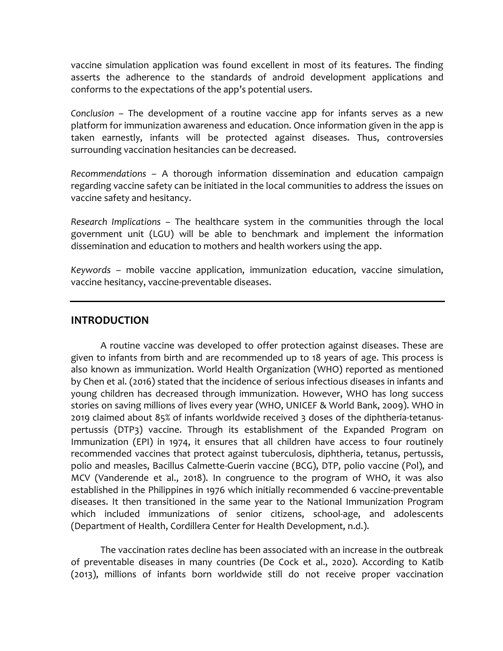vaccine simulation application was found excellent in most of its features. The finding asserts the adherence to the standards of android development applications and conforms to the expectations of the app's potential users.

*Conclusion* – The development of a routine vaccine app for infants serves as a new platform for immunization awareness and education. Once information given in the app is taken earnestly, infants will be protected against diseases. Thus, controversies surrounding vaccination hesitancies can be decreased.

*Recommendations* – A thorough information dissemination and education campaign regarding vaccine safety can be initiated in the local communities to address the issues on vaccine safety and hesitancy.

*Research Implications* – The healthcare system in the communities through the local government unit (LGU) will be able to benchmark and implement the information dissemination and education to mothers and health workers using the app.

*Keywords* – mobile vaccine application, immunization education, vaccine simulation, vaccine hesitancy, vaccine-preventable diseases.

#### **INTRODUCTION**

A routine vaccine was developed to offer protection against diseases. These are given to infants from birth and are recommended up to 18 years of age. This process is also known as immunization. World Health Organization (WHO) reported as mentioned by Chen et al. (2016) stated that the incidence of serious infectious diseases in infants and young children has decreased through immunization. However, WHO has long success stories on saving millions of lives every year (WHO, UNICEF & World Bank, 2009). WHO in 2019 claimed about 85% of infants worldwide received 3 doses of the diphtheria-tetanuspertussis (DTP3) vaccine. Through its establishment of the Expanded Program on Immunization (EPI) in 1974, it ensures that all children have access to four routinely recommended vaccines that protect against tuberculosis, diphtheria, tetanus, pertussis, polio and measles, Bacillus Calmette-Guerin vaccine (BCG), DTP, polio vaccine (Pol), and MCV (Vanderende et al., 2018). In congruence to the program of WHO, it was also established in the Philippines in 1976 which initially recommended 6 vaccine-preventable diseases. It then transitioned in the same year to the National Immunization Program which included immunizations of senior citizens, school-age, and adolescents (Department of Health, Cordillera Center for Health Development, n.d.).

The vaccination rates decline has been associated with an increase in the outbreak of preventable diseases in many countries (De Cock et al., 2020). According to Katib (2013), millions of infants born worldwide still do not receive proper vaccination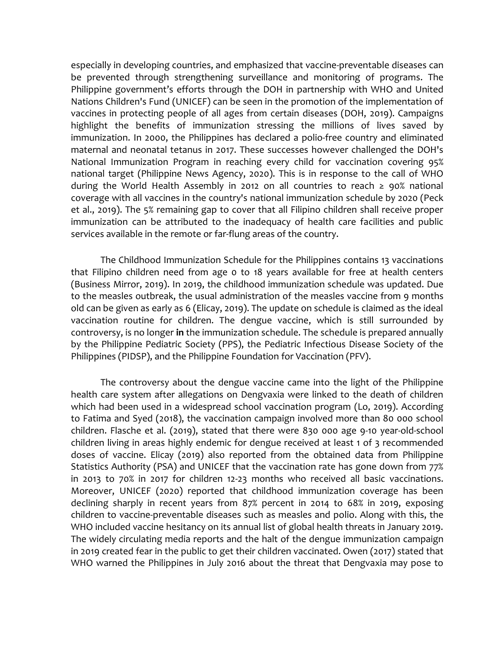especially in developing countries, and emphasized that vaccine-preventable diseases can be prevented through strengthening surveillance and monitoring of programs. The Philippine government's efforts through the DOH in partnership with WHO and United Nations Children's Fund (UNICEF) can be seen in the promotion of the implementation of vaccines in protecting people of all ages from certain diseases (DOH, 2019). Campaigns highlight the benefits of immunization stressing the millions of lives saved by immunization. In 2000, the Philippines has declared a polio-free country and eliminated maternal and neonatal tetanus in 2017. These successes however challenged the DOH's National Immunization Program in reaching every child for vaccination covering 95% national target (Philippine News Agency, 2020). This is in response to the call of WHO during the World Health Assembly in 2012 on all countries to reach ≥ 90% national coverage with all vaccines in the country's national immunization schedule by 2020 (Peck et al., 2019). The 5% remaining gap to cover that all Filipino children shall receive proper immunization can be attributed to the inadequacy of health care facilities and public services available in the remote or far-flung areas of the country.

The Childhood Immunization Schedule for the Philippines contains 13 vaccinations that Filipino children need from age 0 to 18 years available for free at health centers (Business Mirror, 2019). In 2019, the childhood immunization schedule was updated. Due to the measles outbreak, the usual administration of the measles vaccine from 9 months old can be given as early as 6 (Elicay, 2019). The update on schedule is claimed as the ideal vaccination routine for children. The dengue vaccine, which is still surrounded by controversy, is no longer **in** the immunization schedule. The schedule is prepared annually by the Philippine Pediatric Society (PPS), the Pediatric Infectious Disease Society of the Philippines (PIDSP), and the Philippine Foundation for Vaccination (PFV).

The controversy about the dengue vaccine came into the light of the Philippine health care system after allegations on Dengvaxia were linked to the death of children which had been used in a widespread school vaccination program (Lo, 2019). According to Fatima and Syed (2018), the vaccination campaign involved more than 80 000 school children. Flasche et al. (2019), stated that there were 830 000 age 9-10 year-old-school children living in areas highly endemic for dengue received at least 1 of 3 recommended doses of vaccine. Elicay (2019) also reported from the obtained data from Philippine Statistics Authority (PSA) and UNICEF that the vaccination rate has gone down from 77% in 2013 to 70% in 2017 for children 12-23 months who received all basic vaccinations. Moreover, UNICEF (2020) reported that childhood immunization coverage has been declining sharply in recent years from 87% percent in 2014 to 68% in 2019, exposing children to vaccine-preventable diseases such as measles and polio. Along with this, the WHO included vaccine hesitancy on its annual list of global health threats in January 2019. The widely circulating media reports and the halt of the dengue immunization campaign in 2019 created fear in the public to get their children vaccinated. Owen (2017) stated that WHO warned the Philippines in July 2016 about the threat that Dengvaxia may pose to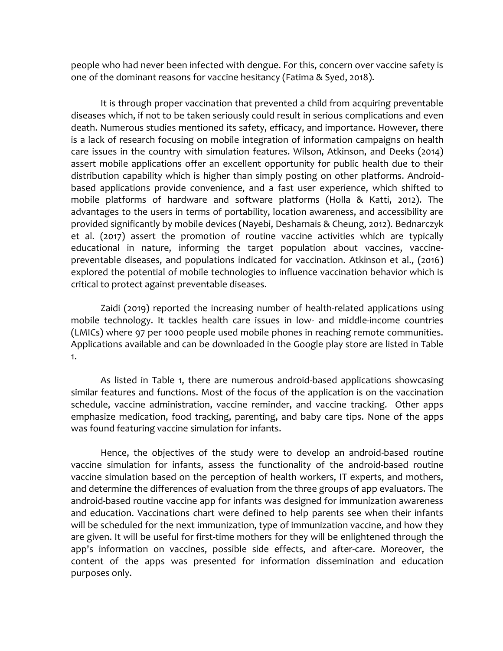people who had never been infected with dengue. For this, concern over vaccine safety is one of the dominant reasons for vaccine hesitancy (Fatima & Syed, 2018).

It is through proper vaccination that prevented a child from acquiring preventable diseases which, if not to be taken seriously could result in serious complications and even death. Numerous studies mentioned its safety, efficacy, and importance. However, there is a lack of research focusing on mobile integration of information campaigns on health care issues in the country with simulation features. Wilson, Atkinson, and Deeks (2014) assert mobile applications offer an excellent opportunity for public health due to their distribution capability which is higher than simply posting on other platforms. Androidbased applications provide convenience, and a fast user experience, which shifted to mobile platforms of hardware and software platforms (Holla & Katti, 2012). The advantages to the users in terms of portability, location awareness, and accessibility are provided significantly by mobile devices (Nayebi, Desharnais & Cheung, 2012). Bednarczyk et al. (2017) assert the promotion of routine vaccine activities which are typically educational in nature, informing the target population about vaccines, vaccinepreventable diseases, and populations indicated for vaccination. Atkinson et al., (2016) explored the potential of mobile technologies to influence vaccination behavior which is critical to protect against preventable diseases.

Zaidi (2019) reported the increasing number of health-related applications using mobile technology. It tackles health care issues in low- and middle-income countries (LMICs) where 97 per 1000 people used mobile phones in reaching remote communities. Applications available and can be downloaded in the Google play store are listed in Table 1.

As listed in Table 1, there are numerous android-based applications showcasing similar features and functions. Most of the focus of the application is on the vaccination schedule, vaccine administration, vaccine reminder, and vaccine tracking. Other apps emphasize medication, food tracking, parenting, and baby care tips. None of the apps was found featuring vaccine simulation for infants.

Hence, the objectives of the study were to develop an android-based routine vaccine simulation for infants, assess the functionality of the android-based routine vaccine simulation based on the perception of health workers, IT experts, and mothers, and determine the differences of evaluation from the three groups of app evaluators. The android-based routine vaccine app for infants was designed for immunization awareness and education. Vaccinations chart were defined to help parents see when their infants will be scheduled for the next immunization, type of immunization vaccine, and how they are given. It will be useful for first-time mothers for they will be enlightened through the app's information on vaccines, possible side effects, and after-care. Moreover, the content of the apps was presented for information dissemination and education purposes only.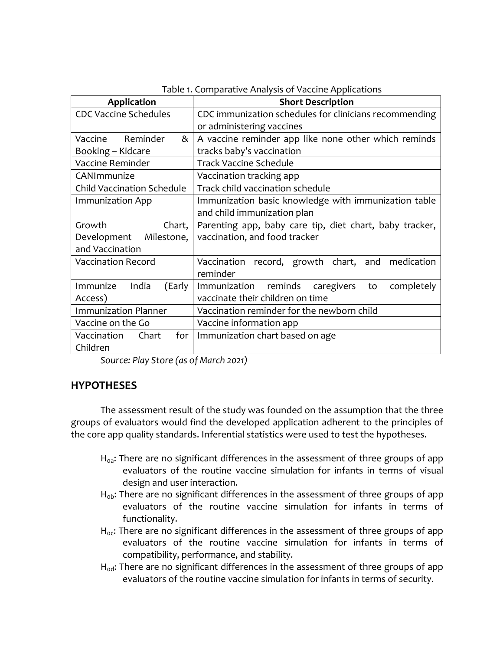| <b>Application</b>                                                        | <b>Short Description</b>                                |  |  |  |  |
|---------------------------------------------------------------------------|---------------------------------------------------------|--|--|--|--|
| <b>CDC Vaccine Schedules</b>                                              | CDC immunization schedules for clinicians recommending  |  |  |  |  |
|                                                                           | or administering vaccines                               |  |  |  |  |
| Vaccine Reminder<br>&                                                     | A vaccine reminder app like none other which reminds    |  |  |  |  |
| Booking - Kidcare                                                         | tracks baby's vaccination                               |  |  |  |  |
| Vaccine Reminder                                                          | <b>Track Vaccine Schedule</b>                           |  |  |  |  |
| CANImmunize                                                               | Vaccination tracking app                                |  |  |  |  |
| <b>Child Vaccination Schedule</b>                                         | Track child vaccination schedule                        |  |  |  |  |
| <b>Immunization App</b>                                                   | Immunization basic knowledge with immunization table    |  |  |  |  |
|                                                                           | and child immunization plan                             |  |  |  |  |
| Growth<br>Chart,                                                          | Parenting app, baby care tip, diet chart, baby tracker, |  |  |  |  |
| Milestone,<br>Development                                                 | vaccination, and food tracker                           |  |  |  |  |
| and Vaccination                                                           |                                                         |  |  |  |  |
| <b>Vaccination Record</b>                                                 | Vaccination record, growth chart, and medication        |  |  |  |  |
|                                                                           | reminder                                                |  |  |  |  |
| Immunize<br>India<br>(Early                                               | Immunization reminds caregivers<br>completely<br>to     |  |  |  |  |
| Access)                                                                   | vaccinate their children on time                        |  |  |  |  |
| <b>Immunization Planner</b><br>Vaccination reminder for the newborn child |                                                         |  |  |  |  |
| Vaccine on the Go                                                         | Vaccine information app                                 |  |  |  |  |
| Vaccination<br>Chart<br>for $ $                                           | Immunization chart based on age                         |  |  |  |  |
| Children                                                                  |                                                         |  |  |  |  |

| Table 1. Comparative Analysis of Vaccine Applications |  |  |
|-------------------------------------------------------|--|--|
|                                                       |  |  |

*Source: Play Store (as of March 2021)*

#### **HYPOTHESES**

The assessment result of the study was founded on the assumption that the three groups of evaluators would find the developed application adherent to the principles of the core app quality standards. Inferential statistics were used to test the hypotheses.

- $H_{0a}$ : There are no significant differences in the assessment of three groups of app evaluators of the routine vaccine simulation for infants in terms of visual design and user interaction.
- $H_{\text{ob}}$ : There are no significant differences in the assessment of three groups of app evaluators of the routine vaccine simulation for infants in terms of functionality.
- $H_{oc}$ : There are no significant differences in the assessment of three groups of app evaluators of the routine vaccine simulation for infants in terms of compatibility, performance, and stability.
- $H_{od}$ : There are no significant differences in the assessment of three groups of app evaluators of the routine vaccine simulation for infants in terms of security.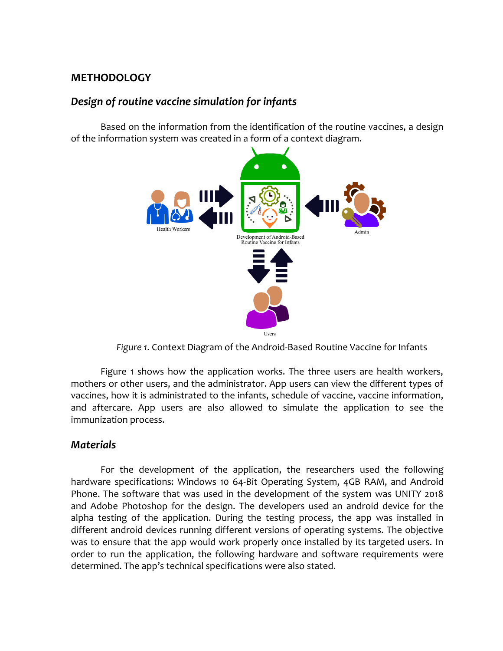# **METHODOLOGY**

# *Design of routine vaccine simulation for infants*

Based on the information from the identification of the routine vaccines, a design of the information system was created in a form of a context diagram.



*Figure 1*. Context Diagram of the Android-Based Routine Vaccine for Infants

Figure 1 shows how the application works. The three users are health workers, mothers or other users, and the administrator. App users can view the different types of vaccines, how it is administrated to the infants, schedule of vaccine, vaccine information, and aftercare. App users are also allowed to simulate the application to see the immunization process.

# *Materials*

For the development of the application, the researchers used the following hardware specifications: Windows 10 64-Bit Operating System, 4GB RAM, and Android Phone. The software that was used in the development of the system was UNITY 2018 and Adobe Photoshop for the design. The developers used an android device for the alpha testing of the application. During the testing process, the app was installed in different android devices running different versions of operating systems. The objective was to ensure that the app would work properly once installed by its targeted users. In order to run the application, the following hardware and software requirements were determined. The app's technical specifications were also stated.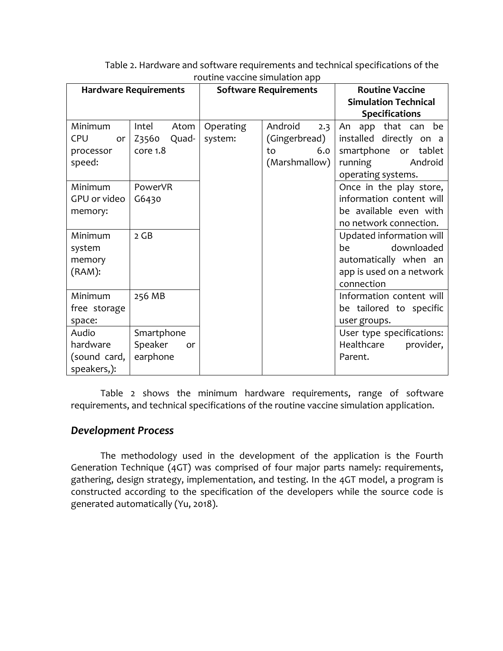| Poutine vacence simulation app |                |           |                              |                             |  |  |  |  |
|--------------------------------|----------------|-----------|------------------------------|-----------------------------|--|--|--|--|
| <b>Hardware Requirements</b>   |                |           | <b>Software Requirements</b> | <b>Routine Vaccine</b>      |  |  |  |  |
|                                |                |           |                              | <b>Simulation Technical</b> |  |  |  |  |
|                                |                |           |                              | <b>Specifications</b>       |  |  |  |  |
| Minimum                        | Intel<br>Atom  | Operating | Android<br>2.3               | app that can be<br>An       |  |  |  |  |
| <b>CPU</b><br>or               | Z3560<br>Quad- | system:   | (Gingerbread)                | installed directly on a     |  |  |  |  |
| processor                      | core 1.8       |           | 6.0<br>to                    | smartphone<br>tablet<br>or  |  |  |  |  |
| speed:                         |                |           | (Marshmallow)                | running<br>Android          |  |  |  |  |
|                                |                |           |                              | operating systems.          |  |  |  |  |
| Minimum                        | PowerVR        |           |                              | Once in the play store,     |  |  |  |  |
| GPU or video                   | G6430          |           |                              | information content will    |  |  |  |  |
| memory:                        |                |           |                              | be available even with      |  |  |  |  |
|                                |                |           |                              | no network connection.      |  |  |  |  |
| Minimum                        | 2 GB           |           |                              | Updated information will    |  |  |  |  |
| system                         |                |           |                              | downloaded<br>be            |  |  |  |  |
| memory                         |                |           |                              | automatically when an       |  |  |  |  |
| (RAM):                         |                |           |                              | app is used on a network    |  |  |  |  |
|                                |                |           |                              | connection                  |  |  |  |  |
| Minimum                        | 256 MB         |           |                              | Information content will    |  |  |  |  |
| free storage                   |                |           |                              | be tailored to specific     |  |  |  |  |
| space:                         |                |           |                              | user groups.                |  |  |  |  |
| Audio                          | Smartphone     |           |                              | User type specifications:   |  |  |  |  |
| hardware                       | Speaker<br>or  |           |                              | Healthcare<br>provider,     |  |  |  |  |
| (sound card,                   | earphone       |           |                              | Parent.                     |  |  |  |  |
| speakers,):                    |                |           |                              |                             |  |  |  |  |

Table 2. Hardware and software requirements and technical specifications of the routine vaccine simulation app

Table 2 shows the minimum hardware requirements, range of software requirements, and technical specifications of the routine vaccine simulation application.

#### *Development Process*

The methodology used in the development of the application is the Fourth Generation Technique (4GT) was comprised of four major parts namely: requirements, gathering, design strategy, implementation, and testing. In the 4GT model, a program is constructed according to the specification of the developers while the source code is generated automatically (Yu, 2018).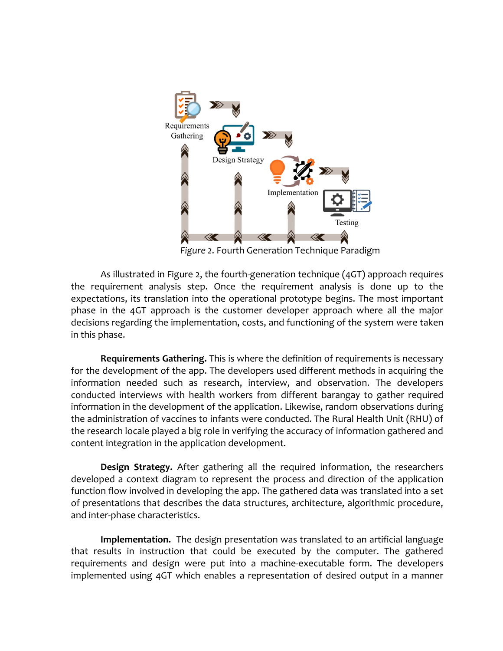

*Figure 2*. Fourth Generation Technique Paradigm

As illustrated in Figure 2, the fourth-generation technique (4GT) approach requires the requirement analysis step. Once the requirement analysis is done up to the expectations, its translation into the operational prototype begins. The most important phase in the 4GT approach is the customer developer approach where all the major decisions regarding the implementation, costs, and functioning of the system were taken in this phase.

**Requirements Gathering.** This is where the definition of requirements is necessary for the development of the app. The developers used different methods in acquiring the information needed such as research, interview, and observation. The developers conducted interviews with health workers from different barangay to gather required information in the development of the application. Likewise, random observations during the administration of vaccines to infants were conducted. The Rural Health Unit (RHU) of the research locale played a big role in verifying the accuracy of information gathered and content integration in the application development.

**Design Strategy.** After gathering all the required information, the researchers developed a context diagram to represent the process and direction of the application function flow involved in developing the app. The gathered data was translated into a set of presentations that describes the data structures, architecture, algorithmic procedure, and inter-phase characteristics.

**Implementation.** The design presentation was translated to an artificial language that results in instruction that could be executed by the computer. The gathered requirements and design were put into a machine-executable form. The developers implemented using 4GT which enables a representation of desired output in a manner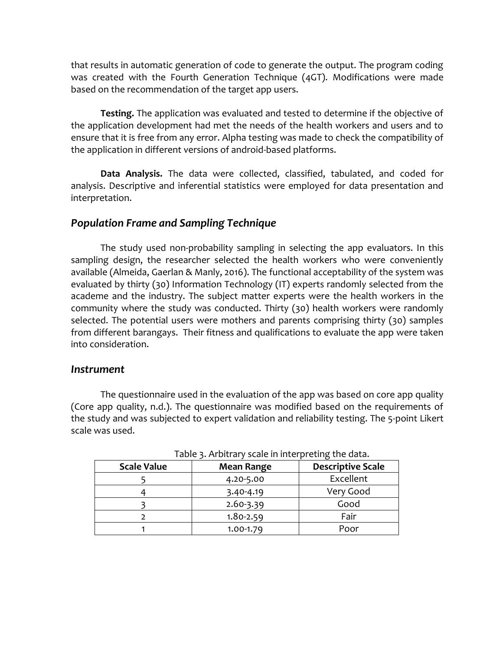that results in automatic generation of code to generate the output. The program coding was created with the Fourth Generation Technique (4GT). Modifications were made based on the recommendation of the target app users.

**Testing.** The application was evaluated and tested to determine if the objective of the application development had met the needs of the health workers and users and to ensure that it is free from any error. Alpha testing was made to check the compatibility of the application in different versions of android-based platforms.

**Data Analysis.** The data were collected, classified, tabulated, and coded for analysis. Descriptive and inferential statistics were employed for data presentation and interpretation.

#### *Population Frame and Sampling Technique*

The study used non-probability sampling in selecting the app evaluators. In this sampling design, the researcher selected the health workers who were conveniently available (Almeida, Gaerlan & Manly, 2016). The functional acceptability of the system was evaluated by thirty (30) Information Technology (IT) experts randomly selected from the academe and the industry. The subject matter experts were the health workers in the community where the study was conducted. Thirty (30) health workers were randomly selected. The potential users were mothers and parents comprising thirty (30) samples from different barangays. Their fitness and qualifications to evaluate the app were taken into consideration.

#### *Instrument*

The questionnaire used in the evaluation of the app was based on core app quality (Core app quality, n.d.). The questionnaire was modified based on the requirements of the study and was subjected to expert validation and reliability testing. The 5-point Likert scale was used.

| rapic <i>for a piccar production</i> and complete and data. |                   |                          |  |  |  |  |
|-------------------------------------------------------------|-------------------|--------------------------|--|--|--|--|
| <b>Scale Value</b>                                          | <b>Mean Range</b> | <b>Descriptive Scale</b> |  |  |  |  |
|                                                             | 4.20-5.00         | Excellent                |  |  |  |  |
|                                                             | 3.40-4.19         | Very Good                |  |  |  |  |
|                                                             | 2.60-3.39         | Good                     |  |  |  |  |
|                                                             | $1.80 - 2.59$     | Fair                     |  |  |  |  |
|                                                             | $1.00 - 1.79$     | Poor                     |  |  |  |  |

Table 3. Arbitrary scale in interpreting the data.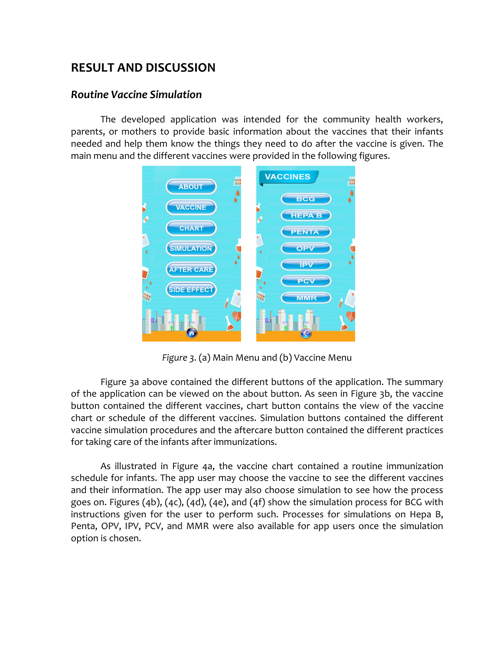# **RESULT AND DISCUSSION**

#### *Routine Vaccine Simulation*

The developed application was intended for the community health workers, parents, or mothers to provide basic information about the vaccines that their infants needed and help them know the things they need to do after the vaccine is given. The main menu and the different vaccines were provided in the following figures.



*Figure 3*. (a) Main Menu and (b) Vaccine Menu

Figure 3a above contained the different buttons of the application. The summary of the application can be viewed on the about button. As seen in Figure 3b, the vaccine button contained the different vaccines, chart button contains the view of the vaccine chart or schedule of the different vaccines. Simulation buttons contained the different vaccine simulation procedures and the aftercare button contained the different practices for taking care of the infants after immunizations.

As illustrated in Figure 4a, the vaccine chart contained a routine immunization schedule for infants. The app user may choose the vaccine to see the different vaccines and their information. The app user may also choose simulation to see how the process goes on. Figures (4b), (4c), (4d), (4e), and (4f) show the simulation process for BCG with instructions given for the user to perform such. Processes for simulations on Hepa B, Penta, OPV, IPV, PCV, and MMR were also available for app users once the simulation option is chosen.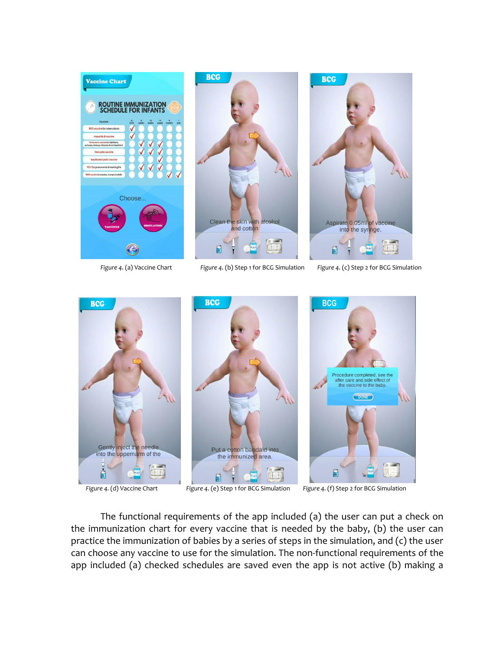





*Figure 4*. (a) Vaccine Chart *Figure 4*. (b) Step 1 for BCG Simulation *Figure 4*. (c) Step 2 for BCG Simulation



 *Figure 4*. (d) Vaccine Chart *Figure 4*. (e) Step 1 for BCG Simulation *Figure 4*. (f) Step 2 for BCG Simulation

The functional requirements of the app included (a) the user can put a check on the immunization chart for every vaccine that is needed by the baby, (b) the user can practice the immunization of babies by a series of steps in the simulation, and (c) the user can choose any vaccine to use for the simulation. The non-functional requirements of the app included (a) checked schedules are saved even the app is not active (b) making a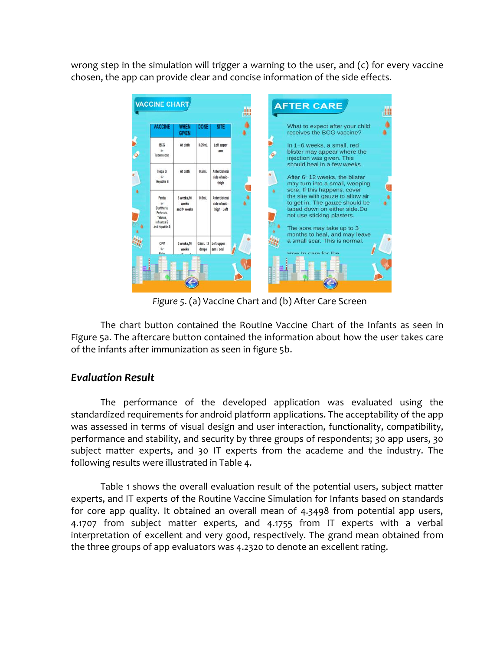wrong step in the simulation will trigger a warning to the user, and (c) for every vaccine chosen, the app can provide clear and concise information of the side effects.



*Figure 5*. (a) Vaccine Chart and (b) After Care Screen

The chart button contained the Routine Vaccine Chart of the Infants as seen in Figure 5a. The aftercare button contained the information about how the user takes care of the infants after immunization as seen in figure 5b.

# *Evaluation Result*

The performance of the developed application was evaluated using the standardized requirements for android platform applications. The acceptability of the app was assessed in terms of visual design and user interaction, functionality, compatibility, performance and stability, and security by three groups of respondents; 30 app users, 30 subject matter experts, and 30 IT experts from the academe and the industry. The following results were illustrated in Table 4.

Table 1 shows the overall evaluation result of the potential users, subject matter experts, and IT experts of the Routine Vaccine Simulation for Infants based on standards for core app quality. It obtained an overall mean of 4.3498 from potential app users, 4.1707 from subject matter experts, and 4.1755 from IT experts with a verbal interpretation of excellent and very good, respectively. The grand mean obtained from the three groups of app evaluators was 4.2320 to denote an excellent rating.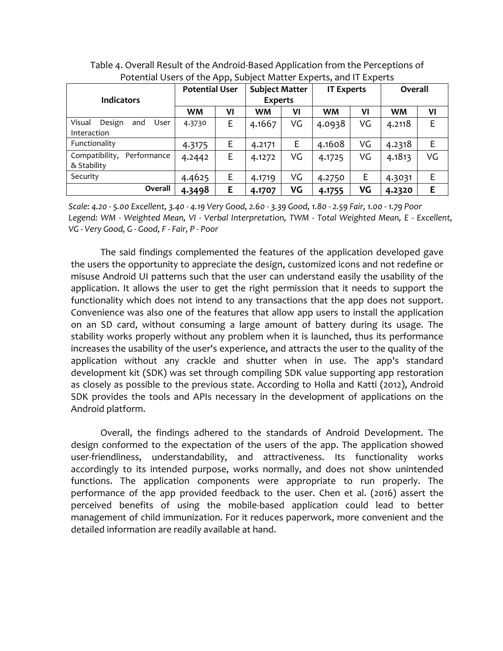|                                 | <b>Potential User</b> |    | <b>Subject Matter</b> |    | <b>IT Experts</b> |    | Overall |    |
|---------------------------------|-----------------------|----|-----------------------|----|-------------------|----|---------|----|
| <b>Indicators</b>               |                       |    | <b>Experts</b>        |    |                   |    |         |    |
|                                 | <b>WM</b>             | VI | WM                    | VI | <b>WM</b>         | VI | WM      | VI |
| Visual<br>User<br>Design<br>and | 4.3730                | E  | 4.1667                | VG | 4.0938            | VG | 4.2118  | E  |
| Interaction                     |                       |    |                       |    |                   |    |         |    |
| Functionality                   | 4.3175                | E  | 4.2171                | Ε  | 4.1608            | VG | 4.2318  | E  |
| Compatibility,<br>Performance   | 4.2442                | Ε  | 4.1272                | VG | 4.1725            | VG | 4.1813  | VG |
| & Stability                     |                       |    |                       |    |                   |    |         |    |
| Security                        | 4.4625                | E  | 4.1719                | VG | 4.2750            | E  | 4.3031  | E  |
| Overall                         | 4.3498                | E  | 4.1707                | VG | 4.1755            | VG | 4.2320  | E  |

Table 4. Overall Result of the Android-Based Application from the Perceptions of Potential Users of the App, Subject Matter Experts, and IT Experts

*Scale: 4.20 - 5.00 Excellent, 3.40 - 4.19 Very Good, 2.60 - 3.39 Good, 1.80 - 2.59 Fair, 1.00 - 1.79 Poor Legend: WM - Weighted Mean, VI - Verbal Interpretation, TWM - Total Weighted Mean, E - Excellent, VG - Very Good, G - Good, F - Fair, P - Poor*

The said findings complemented the features of the application developed gave the users the opportunity to appreciate the design, customized icons and not redefine or misuse Android UI patterns such that the user can understand easily the usability of the application. It allows the user to get the right permission that it needs to support the functionality which does not intend to any transactions that the app does not support. Convenience was also one of the features that allow app users to install the application on an SD card, without consuming a large amount of battery during its usage. The stability works properly without any problem when it is launched, thus its performance increases the usability of the user's experience, and attracts the user to the quality of the application without any crackle and shutter when in use. The app's standard development kit (SDK) was set through compiling SDK value supporting app restoration as closely as possible to the previous state. According to Holla and Katti (2012), Android SDK provides the tools and APIs necessary in the development of applications on the Android platform.

Overall, the findings adhered to the standards of Android Development. The design conformed to the expectation of the users of the app. The application showed user-friendliness, understandability, and attractiveness. Its functionality works accordingly to its intended purpose, works normally, and does not show unintended functions. The application components were appropriate to run properly. The performance of the app provided feedback to the user. Chen et al. (2016) assert the perceived benefits of using the mobile-based application could lead to better management of child immunization. For it reduces paperwork, more convenient and the detailed information are readily available at hand.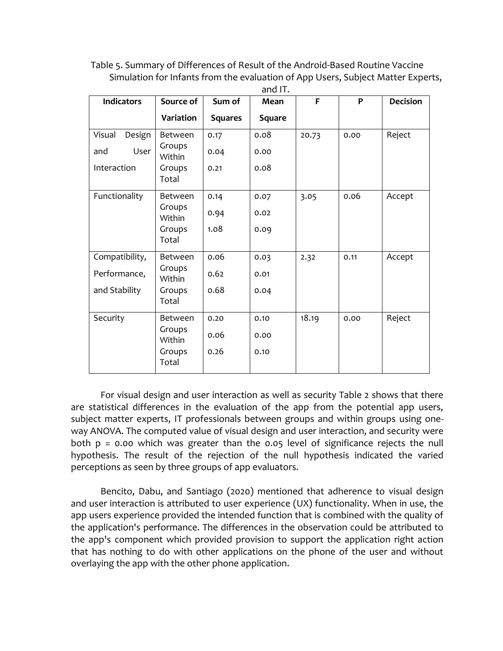Table 5. Summary of Differences of Result of the Android-Based Routine Vaccine Simulation for Infants from the evaluation of App Users, Subject Matter Experts, and IT.

| <b>Indicators</b> | Source of        | Sum of         | Mean   | F     | P    | <b>Decision</b> |
|-------------------|------------------|----------------|--------|-------|------|-----------------|
|                   | Variation        | <b>Squares</b> | Square |       |      |                 |
| Visual<br>Design  | Between          | 0.17           | 0.08   | 20.73 | 0.00 | Reject          |
| User<br>and       | Groups<br>Within | 0.04           | 0.00   |       |      |                 |
| Interaction       | Groups<br>Total  | 0.21           | 0.08   |       |      |                 |
| Functionality     | Between          | 0.14           | 0.07   | 3.05  | 0.06 | Accept          |
|                   | Groups<br>Within | 0.94           | 0.02   |       |      |                 |
|                   | Groups<br>Total  | 1.08           | 0.09   |       |      |                 |
| Compatibility,    | Between          | 0.06           | 0.03   | 2.32  | 0.11 | Accept          |
| Performance,      | Groups<br>Within | 0.62           | 0.01   |       |      |                 |
| and Stability     | Groups<br>Total  | 0.68           | 0.04   |       |      |                 |
| Security          | Between          | 0.20           | 0.10   | 18.19 | 0.00 | Reject          |
|                   | Groups<br>Within | 0.06           | 0.00   |       |      |                 |
|                   | Groups<br>Total  | 0.26           | 0.10   |       |      |                 |

For visual design and user interaction as well as security Table 2 shows that there are statistical differences in the evaluation of the app from the potential app users, subject matter experts, IT professionals between groups and within groups using oneway ANOVA. The computed value of visual design and user interaction, and security were both p = 0.00 which was greater than the 0.05 level of significance rejects the null hypothesis. The result of the rejection of the null hypothesis indicated the varied perceptions as seen by three groups of app evaluators.

Bencito, Dabu, and Santiago (2020) mentioned that adherence to visual design and user interaction is attributed to user experience (UX) functionality. When in use, the app users experience provided the intended function that is combined with the quality of the application's performance. The differences in the observation could be attributed to the app's component which provided provision to support the application right action that has nothing to do with other applications on the phone of the user and without overlaying the app with the other phone application.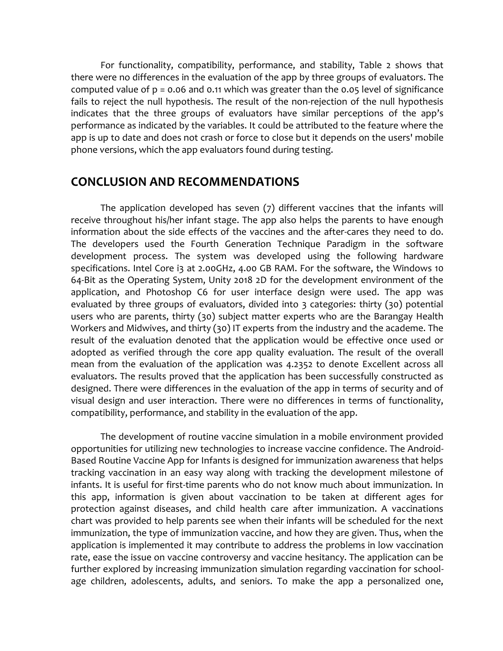For functionality, compatibility, performance, and stability, Table 2 shows that there were no differences in the evaluation of the app by three groups of evaluators. The computed value of p = 0.06 and 0.11 which was greater than the 0.05 level of significance fails to reject the null hypothesis. The result of the non-rejection of the null hypothesis indicates that the three groups of evaluators have similar perceptions of the app's performance as indicated by the variables. It could be attributed to the feature where the app is up to date and does not crash or force to close but it depends on the users' mobile phone versions, which the app evaluators found during testing.

# **CONCLUSION AND RECOMMENDATIONS**

The application developed has seven (7) different vaccines that the infants will receive throughout his/her infant stage. The app also helps the parents to have enough information about the side effects of the vaccines and the after-cares they need to do. The developers used the Fourth Generation Technique Paradigm in the software development process. The system was developed using the following hardware specifications. Intel Core i3 at 2.00GHz, 4.00 GB RAM. For the software, the Windows 10 64-Bit as the Operating System, Unity 2018 2D for the development environment of the application, and Photoshop C6 for user interface design were used. The app was evaluated by three groups of evaluators, divided into 3 categories: thirty (30) potential users who are parents, thirty (30) subject matter experts who are the Barangay Health Workers and Midwives, and thirty (30) IT experts from the industry and the academe. The result of the evaluation denoted that the application would be effective once used or adopted as verified through the core app quality evaluation. The result of the overall mean from the evaluation of the application was 4.2352 to denote Excellent across all evaluators. The results proved that the application has been successfully constructed as designed. There were differences in the evaluation of the app in terms of security and of visual design and user interaction. There were no differences in terms of functionality, compatibility, performance, and stability in the evaluation of the app.

The development of routine vaccine simulation in a mobile environment provided opportunities for utilizing new technologies to increase vaccine confidence. The Android-Based Routine Vaccine App for Infants is designed for immunization awareness that helps tracking vaccination in an easy way along with tracking the development milestone of infants. It is useful for first-time parents who do not know much about immunization. In this app, information is given about vaccination to be taken at different ages for protection against diseases, and child health care after immunization. A vaccinations chart was provided to help parents see when their infants will be scheduled for the next immunization, the type of immunization vaccine, and how they are given. Thus, when the application is implemented it may contribute to address the problems in low vaccination rate, ease the issue on vaccine controversy and vaccine hesitancy. The application can be further explored by increasing immunization simulation regarding vaccination for schoolage children, adolescents, adults, and seniors. To make the app a personalized one,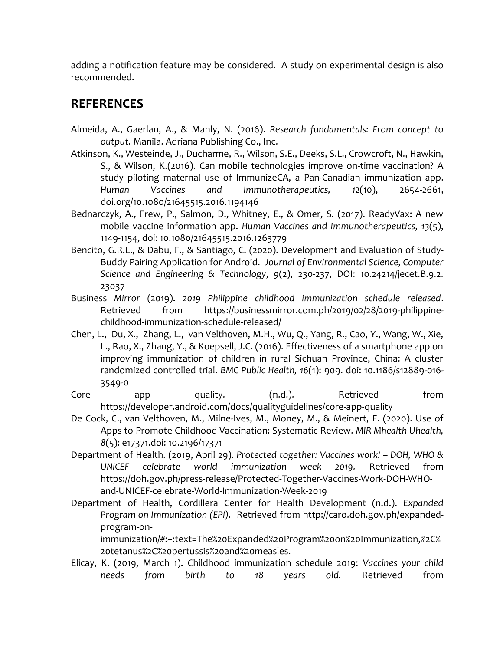adding a notification feature may be considered. A study on experimental design is also recommended.

# **REFERENCES**

- Almeida, A., Gaerlan, A., & Manly, N. (2016). *Research fundamentals: From concept to output.* Manila. Adriana Publishing Co., Inc.
- Atkinson, K., Westeinde, J., Ducharme, R., Wilson, S.E., Deeks, S.L., Crowcroft, N., Hawkin, S., & Wilson, K.(2016). Can mobile technologies improve on-time vaccination? A study piloting maternal use of ImmunizeCA, a Pan-Canadian immunization app. *Human Vaccines and Immunotherapeutics, 12*(10), 2654-2661, doi.org/10.1080/21645515.2016.1194146
- Bednarczyk, A., Frew, P., Salmon, D., Whitney, E., & Omer, S. (2017). ReadyVax: A new mobile vaccine information app. *Human Vaccines and Immunotherapeutics*, *13*(5), 1149-1154, doi: 10.1080/21645515.2016.1263779
- Bencito, G.R.L., & Dabu, F., & Santiago, C. (2020). Development and Evaluation of Study-Buddy Pairing Application for Android. *Journal of Environmental Science, Computer Science and Engineering & Technology*, *9*(2), 230-237, DOI: 10.24214/jecet.B.9.2. 23037
- Business *Mirror* (2019). *2019 Philippine childhood immunization schedule released*. Retrieved from https://businessmirror.com.ph/2019/02/28/2019-philippinechildhood-immunization-schedule-released/
- Chen, L., Du, X., Zhang, L., van Velthoven, M.H., Wu, Q., Yang, R., Cao, Y., Wang, W., Xie, L., Rao, X., Zhang, Y., & Koepsell, J.C. (2016). Effectiveness of a smartphone app on improving immunization of children in rural Sichuan Province, China: A cluster randomized controlled trial. *BMC Public Health, 16*(1): 909. doi: 10.1186/s12889-016- 3549-0
- Core app quality. (n.d.). Retrieved from https://developer.android.com/docs/qualityguidelines/core-app-quality
- De Cock, C., van Velthoven, M., Milne-Ives, M., Money, M., & Meinert, E. (2020). Use of Apps to Promote Childhood Vaccination: Systematic Review. *MIR Mhealth Uhealth, 8*(5): e17371.doi: 10.2196/17371
- Department of Health. (2019, April 29). *Protected together: Vaccines work! – DOH, WHO & UNICEF celebrate world immunization week 2019.* Retrieved from https://doh.gov.ph/press-release/Protected-Together-Vaccines-Work-DOH-WHOand-UNICEF-celebrate-World-Immunization-Week-2019
- Department of Health, Cordillera Center for Health Development (n.d.). *Expanded Program on Immunization (EPI).* Retrieved from http://caro.doh.gov.ph/expandedprogram-on-

immunization/#:~:text=The%20Expanded%20Program%20on%20Immunization,%2C% 20tetanus%2C%20pertussis%20and%20measles.

Elicay, K. (2019, March 1). Childhood immunization schedule 2019: *Vaccines your child needs from birth to 18 years old.* Retrieved from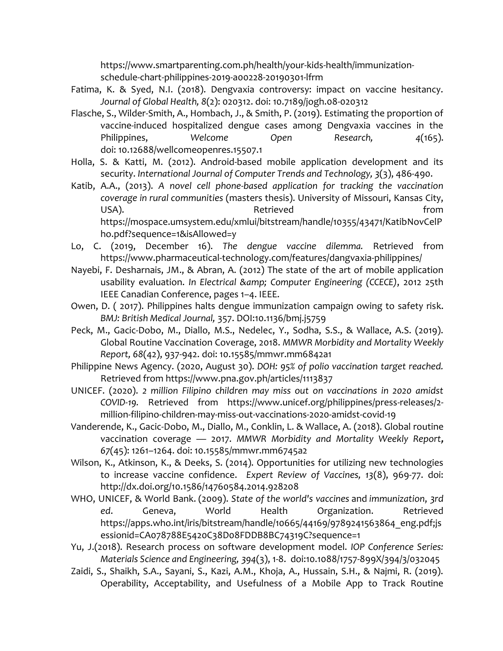https://www.smartparenting.com.ph/health/your-kids-health/immunizationschedule-chart-philippines-2019-a00228-20190301-lfrm

- Fatima, K. & Syed, N.I. (2018). Dengvaxia controversy: impact on vaccine hesitancy. *Journal of Global Health, 8*(2): 020312. doi: 10.7189/jogh.08-020312
- Flasche, S., Wilder-Smith, A., Hombach, J., & Smith, P. (2019). Estimating the proportion of vaccine-induced hospitalized dengue cases among Dengvaxia vaccines in the Philippines, *Welcome Open Research, 4*(165)**.** doi: [10.12688/wellcomeopenres.15507.1](https://dx.doi.org/10.12688%2Fwellcomeopenres.15507.1)
- Holla, S. & Katti, M. (2012). Android-based mobile application development and its security. *International Journal of Computer Trends and Technology, 3*(3), 486-490.
- Katib, A.A., (2013). *A novel cell phone-based application for tracking the vaccination coverage in rural communities* (masters thesis). University of Missouri, Kansas City, USA). The contraction of the contraction of the contraction of the contraction of the contraction of the contra https://mospace.umsystem.edu/xmlui/bitstream/handle/10355/43471/KatibNovCelP ho.pdf?sequence=1&isAllowed=y
- Lo, C. (2019, December 16). *The dengue vaccine dilemma.* Retrieved from https://www.pharmaceutical-technology.com/features/dangvaxia-philippines/
- Nayebi, F. Desharnais, JM., & Abran, A. (2012) The state of the art of mobile application usability evaluation. *In Electrical & amp*; Computer Engineering (CCECE), 2012 25th IEEE Canadian Conference, pages 1–4. IEEE.
- Owen, D. ( 2017). Philippines halts dengue immunization campaign owing to safety risk. *BMJ: British Medical Journal,* 357. DOI:10.1136/bmj.j5759
- Peck, M., Gacic-Dobo, M., Diallo, M.S., Nedelec, Y., Sodha, S.S., & Wallace, A.S. (2019). Global Routine Vaccination Coverage, 2018. *MMWR Morbidity and Mortality Weekly Report, 68*(42), 937-942. doi: [10.15585/mmwr.mm6842a1](https://dx.doi.org/10.15585%2Fmmwr.mm6842a1)
- Philippine News Agency. (2020, August 30). *DOH: 95% of polio vaccination target reached.* Retrieved from https://www.pna.gov.ph/articles/1113837
- UNICEF. (2020). *2 million Filipino children may miss out on vaccinations in 2020 amidst COVID-19.* Retrieved from https://www.unicef.org/philippines/press-releases/2 million-filipino-children-may-miss-out-vaccinations-2020-amidst-covid-19
- Vanderende, K., Gacic-Dobo, M., Diallo, M., Conklin, L. & Wallace, A. (2018). Global routine vaccination coverage — 2017. *MMWR Morbidity and Mortality Weekly Report, 67*(45): 1261–1264. doi: [10.15585/mmwr.mm6745a2](https://dx.doi.org/10.15585%2Fmmwr.mm6745a2)
- Wilson, K., Atkinson, K., & Deeks, S. (2014). Opportunities for utilizing new technologies to increase vaccine confidence. *Expert Review of Vaccines, 13*(8), 969-77. doi: http://dx.doi.org/10.1586/14760584.2014.928208
- WHO, UNICEF, & World Bank. (2009). *State of the world's vaccines* and *immunization*, *3rd ed*. Geneva, World Health Organization. Retrieved https://apps.who.int/iris/bitstream/handle/10665/44169/9789241563864 eng.pdf;js essionid=CA078788E5420C38D08FDDB8BC74319C?sequence=1
- Yu, J.(2018). Research process on software development model. *IOP Conference Series: Materials Science and Engineering, 394*(3), 1-8. doi:10.1088/1757-899X/394/3/032045
- Zaidi, S., Shaikh, S.A., Sayani, S., Kazi, A.M., Khoja, A., Hussain, S.H., & Najmi, R. (2019). Operability, Acceptability, and Usefulness of a Mobile App to Track Routine